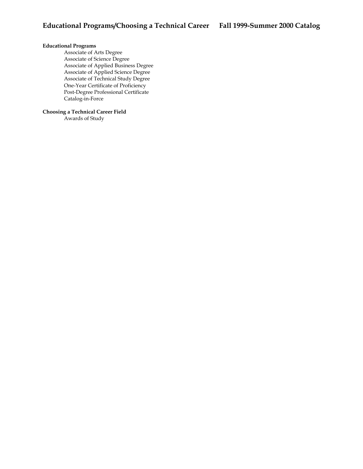## **Educational Programs**

Associate of Arts Degree Associate of Science Degree Associate of Applied Business Degree Associate of Applied Science Degree Associate of Technical Study Degree One-Year Certificate of Proficiency Post-Degree Professional Certificate Catalog-in-Force

## **Choosing a Technical Career Field**

Awards of Study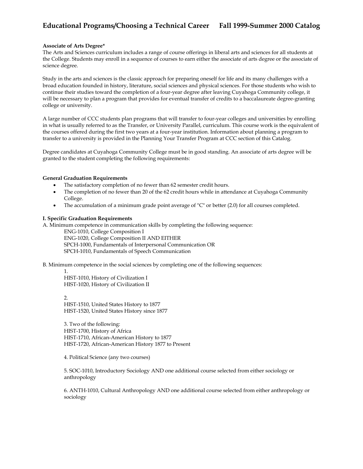#### **Associate of Arts Degree\***

The Arts and Sciences curriculum includes a range of course offerings in liberal arts and sciences for all students at the College. Students may enroll in a sequence of courses to earn either the associate of arts degree or the associate of science degree.

Study in the arts and sciences is the classic approach for preparing oneself for life and its many challenges with a broad education founded in history, literature, social sciences and physical sciences. For those students who wish to continue their studies toward the completion of a four-year degree after leaving Cuyahoga Community college, it will be necessary to plan a program that provides for eventual transfer of credits to a baccalaureate degree-granting college or university.

A large number of CCC students plan programs that will transfer to four-year colleges and universities by enrolling in what is usually referred to as the Transfer, or University Parallel, curriculum. This course work is the equivalent of the courses offered during the first two years at a four-year institution. Information about planning a program to transfer to a university is provided in the Planning Your Transfer Program at CCC section of this Catalog.

Degree candidates at Cuyahoga Community College must be in good standing. An associate of arts degree will be granted to the student completing the following requirements:

### **General Graduation Requirements**

- The satisfactory completion of no fewer than 62 semester credit hours.
- The completion of no fewer than 20 of the 62 credit hours while in attendance at Cuyahoga Community College.
- The accumulation of a minimum grade point average of "C" or better (2.0) for all courses completed.

#### **I. Specific Graduation Requirements**

A. Minimum competence in communication skills by completing the following sequence:

ENG-1010, College Composition I ENG-1020, College Composition II AND EITHER SPCH-1000, Fundamentals of Interpersonal Communication OR SPCH-1010, Fundamentals of Speech Communication

B. Minimum competence in the social sciences by completing one of the following sequences:

1. HIST-1010, History of Civilization I HIST-1020, History of Civilization II

2. HIST-1510, United States History to 1877 HIST-1520, United States History since 1877

3. Two of the following: HIST-1700, History of Africa HIST-1710, African-American History to 1877 HIST-1720, African-American History 1877 to Present

4. Political Science (any two courses)

5. SOC-1010, Introductory Sociology AND one additional course selected from either sociology or anthropology

6. ANTH-1010, Cultural Anthropology AND one additional course selected from either anthropology or sociology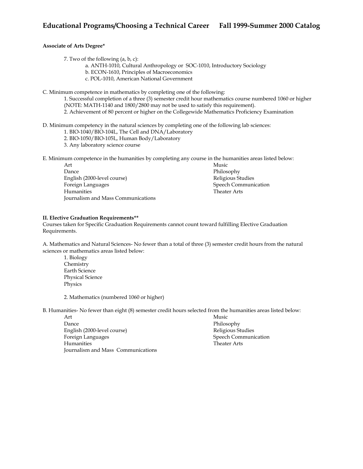## **Associate of Arts Degree\***

7. Two of the following (a, b, c):

a. ANTH-1010, Cultural Anthropology or SOC-1010, Introductory Sociology

b. ECON-1610, Principles of Macroeconomics

c. POL-1010, American National Government

C. Minimum competence in mathematics by completing one of the following:

1. Successful completion of a three (3) semester credit hour mathematics course numbered 1060 or higher (NOTE: MATH-1140 and 1800/2800 may not be used to satisfy this requirement).

2. Achievement of 80 percent or higher on the Collegewide Mathematics Proficiency Examination

D. Minimum competency in the natural sciences by completing one of the following lab sciences:

- 1. BIO-1040/BIO-104L, The Cell and DNA/Laboratory
- 2. BIO-1050/BIO-105L, Human Body/Laboratory

3. Any laboratory science course

E. Minimum competence in the humanities by completing any course in the humanities areas listed below:

Art Dance English (2000-level course) Foreign Languages Humanities Journalism and Mass Communications Music Philosophy Religious Studies Speech Communication Theater Arts

### **II. Elective Graduation Requirements\*\***

Courses taken for Specific Graduation Requirements cannot count toward fulfilling Elective Graduation Requirements.

A. Mathematics and Natural Sciences- No fewer than a total of three (3) semester credit hours from the natural sciences or mathematics areas listed below:

1. Biology Chemistry Earth Science Physical Science Physics

2. Mathematics (numbered 1060 or higher)

B. Humanities- No fewer than eight (8) semester credit hours selected from the humanities areas listed below:

Art Dance English (2000-level course) Foreign Languages Humanities Journalism and Mass Communications Music Philosophy Religious Studies Speech Communication Theater Arts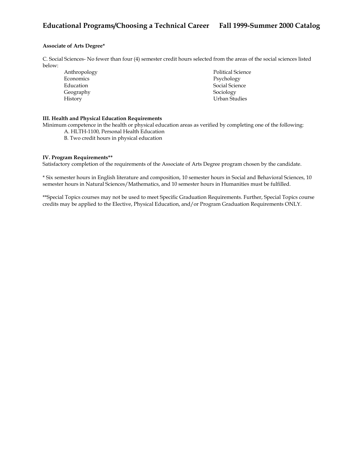## **Associate of Arts Degree\***

C. Social Sciences- No fewer than four (4) semester credit hours selected from the areas of the social sciences listed below:

| Anthropology | <b>Political Science</b> |
|--------------|--------------------------|
| Economics    | Psychology               |
| Education    | Social Science           |
| Geography    | Sociology                |
| History      | Urban Studies            |

## **III. Health and Physical Education Requirements**

Minimum competence in the health or physical education areas as verified by completing one of the following:

- A. HLTH-1100, Personal Health Education
- B. Two credit hours in physical education

#### **IV. Program Requirements\*\***

Satisfactory completion of the requirements of the Associate of Arts Degree program chosen by the candidate.

\* Six semester hours in English literature and composition, 10 semester hours in Social and Behavioral Sciences, 10 semester hours in Natural Sciences/Mathematics, and 10 semester hours in Humanities must be fulfilled.

\*\*Special Topics courses may not be used to meet Specific Graduation Requirements. Further, Special Topics course credits may be applied to the Elective, Physical Education, and/or Program Graduation Requirements ONLY.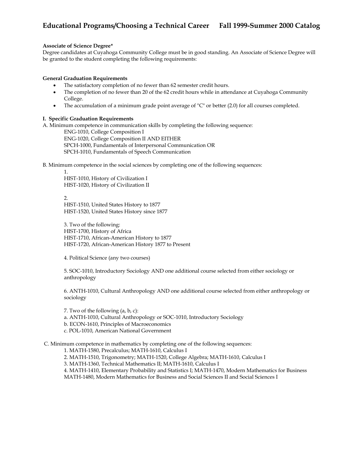### **Associate of Science Degree\***

Degree candidates at Cuyahoga Community College must be in good standing. An Associate of Science Degree will be granted to the student completing the following requirements:

### **General Graduation Requirements**

- The satisfactory completion of no fewer than 62 semester credit hours.
- The completion of no fewer than 20 of the 62 credit hours while in attendance at Cuyahoga Community College.
- The accumulation of a minimum grade point average of "C" or better (2.0) for all courses completed.

### **I. Specific Graduation Requirements**

1.

A. Minimum competence in communication skills by completing the following sequence: ENG-1010, College Composition I ENG-1020, College Composition II AND EITHER SPCH-1000, Fundamentals of Interpersonal Communication OR SPCH-1010, Fundamentals of Speech Communication

B. Minimum competence in the social sciences by completing one of the following sequences:

HIST-1010, History of Civilization I HIST-1020, History of Civilization II

2. HIST-1510, United States History to 1877 HIST-1520, United States History since 1877

3. Two of the following: HIST-1700, History of Africa HIST-1710, African-American History to 1877 HIST-1720, African-American History 1877 to Present

4. Political Science (any two courses)

5. SOC-1010, Introductory Sociology AND one additional course selected from either sociology or anthropology

6. ANTH-1010, Cultural Anthropology AND one additional course selected from either anthropology or sociology

7. Two of the following (a, b, c):

a. ANTH-1010, Cultural Anthropology or SOC-1010, Introductory Sociology

- b. ECON-1610, Principles of Macroeconomics
- c. POL-1010, American National Government

C. Minimum competence in mathematics by completing one of the following sequences:

1. MATH-1580, Precalculus; MATH-1610, Calculus I

2. MATH-1510, Trigonometry; MATH-1520, College Algebra; MATH-1610, Calculus I

3. MATH-1360, Technical Mathematics II; MATH-1610, Calculus I

4. MATH-1410, Elementary Probability and Statistics I; MATH-1470, Modern Mathematics for Business MATH-1480, Modern Mathematics for Business and Social Sciences II and Social Sciences I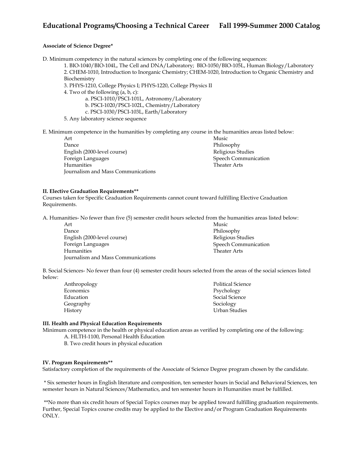#### **Associate of Science Degree\***

D. Minimum competency in the natural sciences by completing one of the following sequences:

1. BIO-1040/BIO-104L, The Cell and DNA/Laboratory; BIO-1050/BIO-105L, Human Biology/Laboratory 2. CHEM-1010, Introduction to Inorganic Chemistry; CHEM-1020, Introduction to Organic Chemistry and Biochemistry

- 3. PHYS-1210, College Physics I; PHYS-1220, College Physics II
- 4. Two of the following (a, b, c):
	- a. PSCI-1010/PSCI-101L, Astronomy/Laboratory
	- b. PSCI-1020/PSCI-102L, Chemistry/Laboratory
	- c. PSCI-1030/PSCI-103L, Earth/Laboratory
- 5. Any laboratory science sequence

E. Minimum competence in the humanities by completing any course in the humanities areas listed below:

Art Dance English (2000-level course) Foreign Languages Humanities Journalism and Mass Communications Music Philosophy Religious Studies Speech Communication Theater Arts

#### **II. Elective Graduation Requirements\*\***

Courses taken for Specific Graduation Requirements cannot count toward fulfilling Elective Graduation Requirements.

A. Humanities- No fewer than five (5) semester credit hours selected from the humanities areas listed below:

| Art                                | Music                |
|------------------------------------|----------------------|
| Dance                              | Philosophy           |
| English (2000-level course)        | Religious Studies    |
| Foreign Languages                  | Speech Communication |
| Humanities                         | <b>Theater Arts</b>  |
| Journalism and Mass Communications |                      |

B. Social Sciences- No fewer than four (4) semester credit hours selected from the areas of the social sciences listed below:

| Anthropology | <b>Political Science</b> |
|--------------|--------------------------|
| Economics    | Psychology               |
| Education    | Social Science           |
| Geography    | Sociology                |
| History      | Urban Studies            |

#### **III. Health and Physical Education Requirements**

Minimum competence in the health or physical education areas as verified by completing one of the following:

- A. HLTH-1100, Personal Health Education
- B. Two credit hours in physical education

#### **IV. Program Requirements\*\***

Satisfactory completion of the requirements of the Associate of Science Degree program chosen by the candidate.

 \* Six semester hours in English literature and composition, ten semester hours in Social and Behavioral Sciences, ten semester hours in Natural Sciences/Mathematics, and ten semester hours in Humanities must be fulfilled.

 \*\*No more than six credit hours of Special Topics courses may be applied toward fulfilling graduation requirements. Further, Special Topics course credits may be applied to the Elective and/or Program Graduation Requirements ONLY.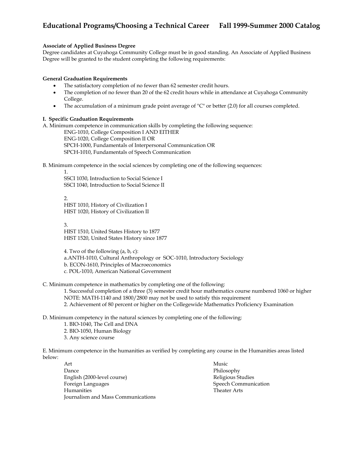## **Associate of Applied Business Degree**

Degree candidates at Cuyahoga Community College must be in good standing. An Associate of Applied Business Degree will be granted to the student completing the following requirements:

#### **General Graduation Requirements**

- The satisfactory completion of no fewer than 62 semester credit hours.
- The completion of no fewer than 20 of the 62 credit hours while in attendance at Cuyahoga Community College.
- The accumulation of a minimum grade point average of "C" or better (2.0) for all courses completed.

### **I. Specific Graduation Requirements**

1.

A. Minimum competence in communication skills by completing the following sequence:

ENG-1010, College Composition I AND EITHER ENG-1020, College Composition II OR SPCH-1000, Fundamentals of Interpersonal Communication OR SPCH-1010, Fundamentals of Speech Communication

B. Minimum competence in the social sciences by completing one of the following sequences:

SSCI 1030, Introduction to Social Science I SSCI 1040, Introduction to Social Science II

2. HIST 1010, History of Civilization I HIST 1020, History of Civilization II

3. HIST 1510, United States History to 1877 HIST 1520, United States History since 1877

4. Two of the following (a, b, c):

a.ANTH-1010, Cultural Anthropology or SOC-1010, Introductory Sociology

b. ECON-1610, Principles of Macroeconomics

c. POL-1010, American National Government

C. Minimum competence in mathematics by completing one of the following:

1. Successful completion of a three (3) semester credit hour mathematics course numbered 1060 or higher NOTE: MATH-1140 and 1800/2800 may not be used to satisfy this requirement 2. Achievement of 80 percent or higher on the Collegewide Mathematics Proficiency Examination

D. Minimum competency in the natural sciences by completing one of the following:

1. BIO-1040, The Cell and DNA

2. BIO-1050, Human Biology

3. Any science course

E. Minimum competence in the humanities as verified by completing any course in the Humanities areas listed below:

Art Dance English (2000-level course) Foreign Languages Humanities<sup>1</sup> Journalism and Mass Communications Music Philosophy Religious Studies Speech Communication Theater Arts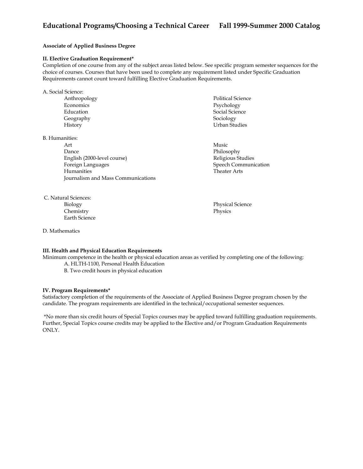## **Associate of Applied Business Degree**

#### **II. Elective Graduation Requirement\***

Completion of one course from any of the subject areas listed below. See specific program semester sequences for the choice of courses. Courses that have been used to complete any requirement listed under Specific Graduation Requirements cannot count toward fulfilling Elective Graduation Requirements.

| A. Social Science: |                          |
|--------------------|--------------------------|
| Anthropology       | <b>Political Science</b> |
| Economics          | Psychology               |
| Education          | Social Science           |
| Geography          | Sociology                |
| History            | Urban Studies            |
|                    |                          |

B. Humanities:

Art Dance English (2000-level course) Foreign Languages Humanities Journalism and Mass Communications

 C. Natural Sciences: Biology

Chemistry Earth Science Music Philosophy Religious Studies Speech Communication Theater Arts

Physical Science Physics

D. Mathematics

## **III. Health and Physical Education Requirements**

Minimum competence in the health or physical education areas as verified by completing one of the following:

 A. HLTH-1100, Personal Health Education B. Two credit hours in physical education

#### **IV. Program Requirements\***

Satisfactory completion of the requirements of the Associate of Applied Business Degree program chosen by the candidate. The program requirements are identified in the technical/occupational semester sequences.

 \*No more than six credit hours of Special Topics courses may be applied toward fulfilling graduation requirements. Further, Special Topics course credits may be applied to the Elective and/or Program Graduation Requirements ONLY.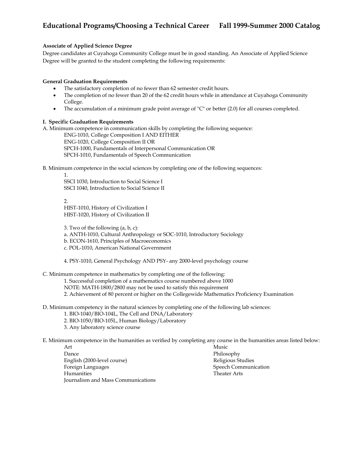## **Associate of Applied Science Degree**

Degree candidates at Cuyahoga Community College must be in good standing. An Associate of Applied Science Degree will be granted to the student completing the following requirements:

## **General Graduation Requirements**

- The satisfactory completion of no fewer than 62 semester credit hours.
- The completion of no fewer than 20 of the 62 credit hours while in attendance at Cuyahoga Community College.
- The accumulation of a minimum grade point average of "C" or better (2.0) for all courses completed.

#### **I. Specific Graduation Requirements**

A. Minimum competence in communication skills by completing the following sequence:

ENG-1010, College Composition I AND EITHER ENG-1020, College Composition II OR SPCH-1000, Fundamentals of Interpersonal Communication OR SPCH-1010, Fundamentals of Speech Communication

B. Minimum competence in the social sciences by completing one of the following sequences:

1. SSCI 1030, Introduction to Social Science I SSCI 1040, Introduction to Social Science II

2. HIST-1010, History of Civilization I HIST-1020, History of Civilization II

3. Two of the following (a, b, c):

a. ANTH-1010, Cultural Anthropology or SOC-1010, Introductory Sociology

b. ECON-1610, Principles of Macroeconomics

c. POL-1010, American National Government

4. PSY-1010, General Psychology AND PSY- any 2000-level psychology course

C. Minimum competence in mathematics by completing one of the following:

1. Successful completion of a mathematics course numbered above 1000

NOTE: MATH-1800/2800 may not be used to satisfy this requirement

2. Achievement of 80 percent or higher on the Collegewide Mathematics Proficiency Examination

D. Minimum competency in the natural sciences by completing one of the following lab sciences:

- 1. BIO-1040/BIO-104L, The Cell and DNA/Laboratory
- 2. BIO-1050/BIO-105L, Human Biology/Laboratory
- 3. Any laboratory science course

E. Minimum competence in the humanities as verified by completing any course in the humanities areas listed below:

Art Dance English (2000-level course) Foreign Languages Humanities Journalism and Mass Communications Music Philosophy Religious Studies Speech Communication Theater Arts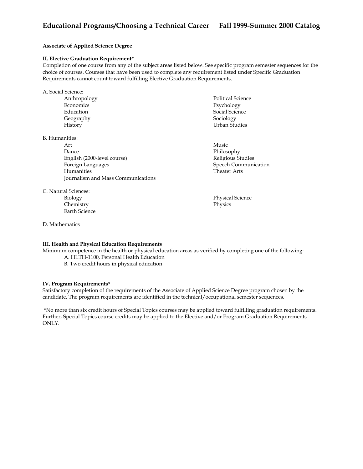## **Associate of Applied Science Degree**

#### **II. Elective Graduation Requirement\***

Completion of one course from any of the subject areas listed below. See specific program semester sequences for the choice of courses. Courses that have been used to complete any requirement listed under Specific Graduation Requirements cannot count toward fulfilling Elective Graduation Requirements.

A. Social Science: Anthropology **Economics** Education Geography History Political Science Psychology Social Science Sociology Urban Studies

B. Humanities:

Art Dance English (2000-level course) Foreign Languages Humanities Journalism and Mass Communications

C. Natural Sciences:

Biology Chemistry Earth Science

D. Mathematics

**III. Health and Physical Education Requirements** 

Minimum competence in the health or physical education areas as verified by completing one of the following: A. HLTH-1100, Personal Health Education

B. Two credit hours in physical education

#### **IV. Program Requirements\***

Satisfactory completion of the requirements of the Associate of Applied Science Degree program chosen by the candidate. The program requirements are identified in the technical/occupational semester sequences.

 \*No more than six credit hours of Special Topics courses may be applied toward fulfilling graduation requirements. Further, Special Topics course credits may be applied to the Elective and/or Program Graduation Requirements ONLY.

- 
- Music Philosophy Religious Studies Speech Communication Theater Arts

Physical Science Physics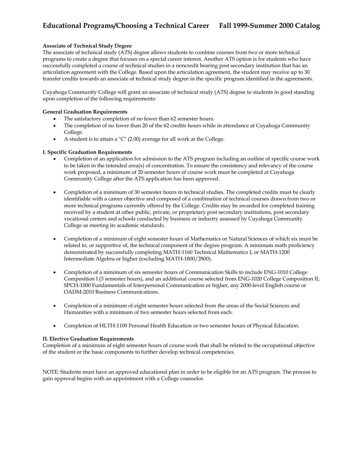## **Associate of Technical Study Degree**

The associate of technical study (ATS) degree allows students to combine courses from two or more technical programs to create a degree that focuses on a special career interest. Another ATS option is for students who have successfully completed a course of technical studies in a noncredit bearing post secondary institution that has an articulation agreement with the College. Based upon the articulation agreement, the student may receive up to 30 transfer credits towards an associate of technical study degree in the specific program identified in the agreements.

Cuyahoga Community College will grant an associate of technical study (ATS) degree to students in good standing upon completion of the following requirements:

### **General Graduation Requirements**

- The satisfactory completion of no fewer than 62 semester hours.
- The completion of no fewer than 20 of the 62 credits hours while in attendance at Cuyahoga Community College.
- A student is to attain a "C" (2.00) average for all work at the College.

### **I. Specific Graduation Requirements**

- Completion of an application for admission to the ATS program including an outline of specific course work to be taken in the intended area(s) of concentration. To ensure the consistency and relevancy of the course work proposed, a minimum of 20 semester hours of course work must be completed at Cuyahoga Community College after the ATS application has been approved.
- Completion of a minimum of 30 semester hours in technical studies. The completed credits must be clearly identifiable with a career objective and composed of a combination of technical courses drawn from two or more technical programs currently offered by the College. Credits may be awarded for completed training received by a student at other public, private, or proprietary post secondary institutions, post secondary vocational centers and schools conducted by business or industry assessed by Cuyahoga Community College as meeting its academic standards.
- Completion of a minimum of eight semester hours of Mathematics or Natural Sciences of which six must be related to, or supportive of, the technical component of the degree program. A minimum math proficiency demonstrated by successfully completing MATH-1160 Technical Mathematics I, or MATH-1200 Intermediate Algebra or higher (excluding MATH-1800/2800).
- Completion of a minimum of six semester hours of Communication Skills to include ENG-1010 College Composition I (3 semester hours), and an additional course selected from ENG-1020 College Composition II, SPCH-1000 Fundamentals of Interpersonal Communication or higher, any 2000-level English course or OADM-2010 Business Communications.
- Completion of a minimum of eight semester hours selected from the areas of the Social Sciences and Humanities with a minimum of two semester hours selected from each.
- Completion of HLTH-1100 Personal Health Education or two semester hours of Physical Education.

## **II. Elective Graduation Requirements**

Completion of a minimum of eight semester hours of course work that shall be related to the occupational objective of the student or the basic components to further develop technical competencies.

NOTE: Students must have an approved educational plan in order to be eligible for an ATS program. The process to gain approval begins with an appointment with a College counselor.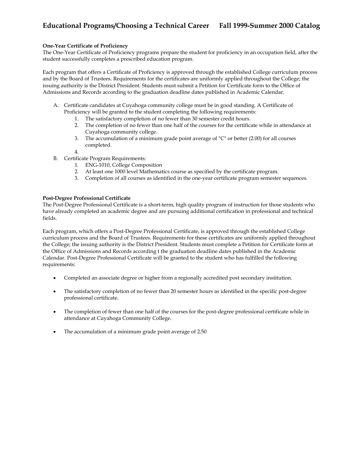### **One-Year Certificate of Proficiency**

The One-Year Certificate of Proficiency programs prepare the student for proficiency in an occupation field, after the student successfully completes a prescribed education program.

Each program that offers a Certificate of Proficiency is approved through the established College curriculum process and by the Board of Trustees. Requirements for the certificates are uniformly applied throughout the College; the issuing authority is the District President. Students must submit a Petition for Certificate form to the Office of Admissions and Records according to the graduation deadline dates published in Academic Calendar.

- A. Certificate candidates at Cuyahoga community college must be in good standing. A Certificate of Proficiency will be granted to the student completing the following requirements:
	- 1. The satisfactory completion of no fewer than 30 semester credit hours.
	- 2. The completion of no fewer than one half of the courses for the certificate while in attendance at Cuyahoga community college.
	- 3. The accumulation of a minimum grade point average of "C" or better (2.00) for all courses completed.
	- 4.
- B. Certificate Program Requirements:
	- 1. ENG-1010, College Composition
	- 2. At least one 1000 level Mathematics course as specified by the certificate program.
	- 3. Completion of all courses as identified in the one-year certificate program semester sequences.

#### **Post-Degree Professional Certificate**

The Post-Degree Professional Certificate is a short-term, high quality program of instruction for those students who have already completed an academic degree and are pursuing additional certification in professional and technical fields.

Each program, which offers a Post-Degree Professional Certificate, is approved through the established College curriculum process and the Board of Trustees. Requirements for these certificates are uniformly applied throughout the College; the issuing authority is the District President. Students must complete a Petition for Certificate form at the Office of Admissions and Records according t the graduation deadline dates published in the Academic Calendar. Post-Degree Professional Certificate will be granted to the student who has fulfilled the following requirements:

- Completed an associate degree or higher from a regionally accredited post secondary institution.
- The satisfactory completion of no fewer than 20 semester hours as identified in the specific post-degree professional certificate.
- The completion of fewer than one half of the courses for the post-degree professional certificate while in attendance at Cuyahoga Community College.
- The accumulation of a minimum grade point average of 2.50